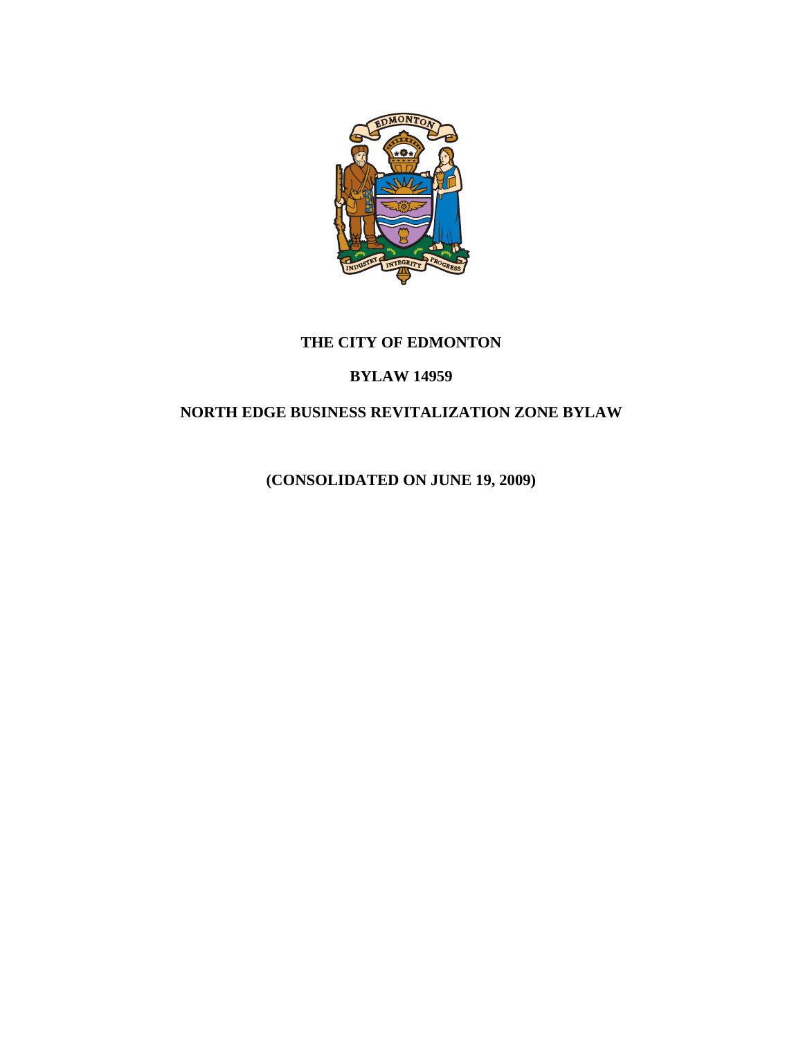

# **THE CITY OF EDMONTON**

### **BYLAW 14959**

## **NORTH EDGE BUSINESS REVITALIZATION ZONE BYLAW**

**(CONSOLIDATED ON JUNE 19, 2009)**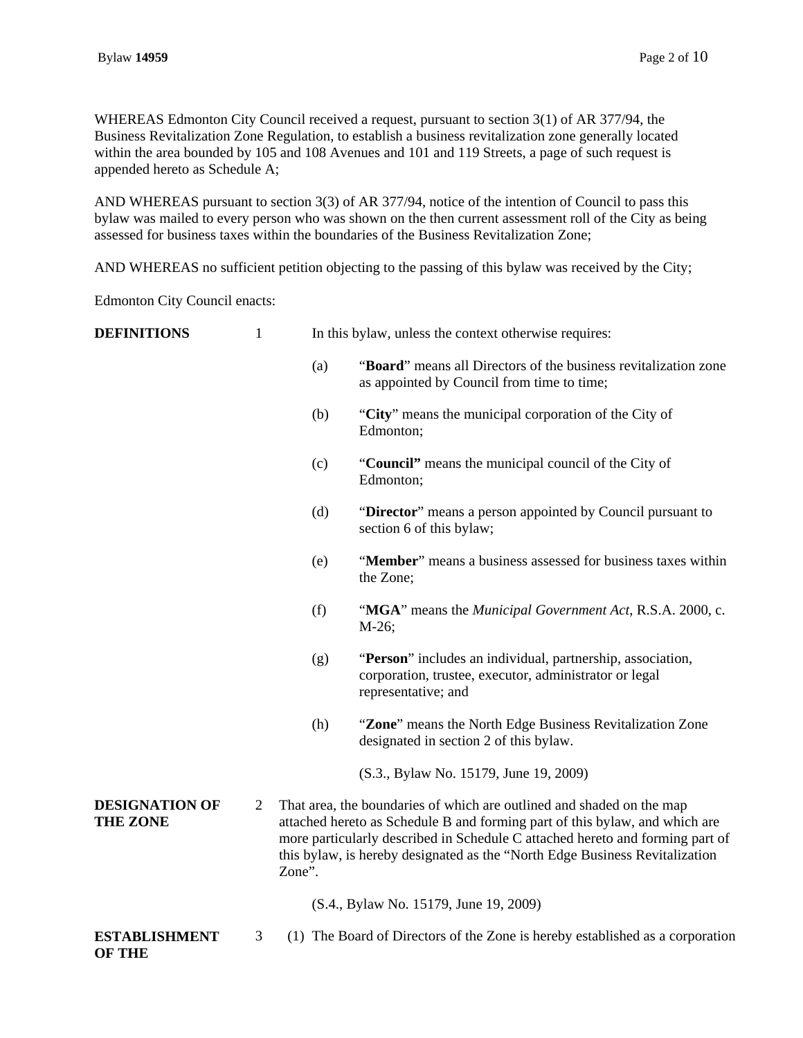WHEREAS Edmonton City Council received a request, pursuant to section 3(1) of AR 377/94, the Business Revitalization Zone Regulation, to establish a business revitalization zone generally located within the area bounded by 105 and 108 Avenues and 101 and 119 Streets, a page of such request is appended hereto as Schedule A;

AND WHEREAS pursuant to section 3(3) of AR 377/94, notice of the intention of Council to pass this bylaw was mailed to every person who was shown on the then current assessment roll of the City as being assessed for business taxes within the boundaries of the Business Revitalization Zone;

AND WHEREAS no sufficient petition objecting to the passing of this bylaw was received by the City;

Edmonton City Council enacts:

| <b>DEFINITIONS</b>                       | $\mathbf{1}$   |        | In this bylaw, unless the context otherwise requires:                                                                                                                                                                                                                                                                |
|------------------------------------------|----------------|--------|----------------------------------------------------------------------------------------------------------------------------------------------------------------------------------------------------------------------------------------------------------------------------------------------------------------------|
|                                          |                | (a)    | "Board" means all Directors of the business revitalization zone<br>as appointed by Council from time to time;                                                                                                                                                                                                        |
|                                          |                | (b)    | "City" means the municipal corporation of the City of<br>Edmonton;                                                                                                                                                                                                                                                   |
|                                          |                | (c)    | "Council" means the municipal council of the City of<br>Edmonton;                                                                                                                                                                                                                                                    |
|                                          |                | (d)    | "Director" means a person appointed by Council pursuant to<br>section 6 of this bylaw;                                                                                                                                                                                                                               |
|                                          |                | (e)    | "Member" means a business assessed for business taxes within<br>the Zone;                                                                                                                                                                                                                                            |
|                                          |                | (f)    | "MGA" means the Municipal Government Act, R.S.A. 2000, c.<br>$M-26;$                                                                                                                                                                                                                                                 |
|                                          |                | (g)    | "Person" includes an individual, partnership, association,<br>corporation, trustee, executor, administrator or legal<br>representative; and                                                                                                                                                                          |
|                                          |                | (h)    | "Zone" means the North Edge Business Revitalization Zone<br>designated in section 2 of this bylaw.                                                                                                                                                                                                                   |
|                                          |                |        | (S.3., Bylaw No. 15179, June 19, 2009)                                                                                                                                                                                                                                                                               |
| <b>DESIGNATION OF</b><br><b>THE ZONE</b> | $\overline{2}$ | Zone". | That area, the boundaries of which are outlined and shaded on the map<br>attached hereto as Schedule B and forming part of this bylaw, and which are<br>more particularly described in Schedule C attached hereto and forming part of<br>this bylaw, is hereby designated as the "North Edge Business Revitalization |
|                                          |                |        | (S.4., Bylaw No. 15179, June 19, 2009)                                                                                                                                                                                                                                                                               |
| <b>ESTABLISHMENT</b><br><b>OF THE</b>    | 3              |        | (1) The Board of Directors of the Zone is hereby established as a corporation                                                                                                                                                                                                                                        |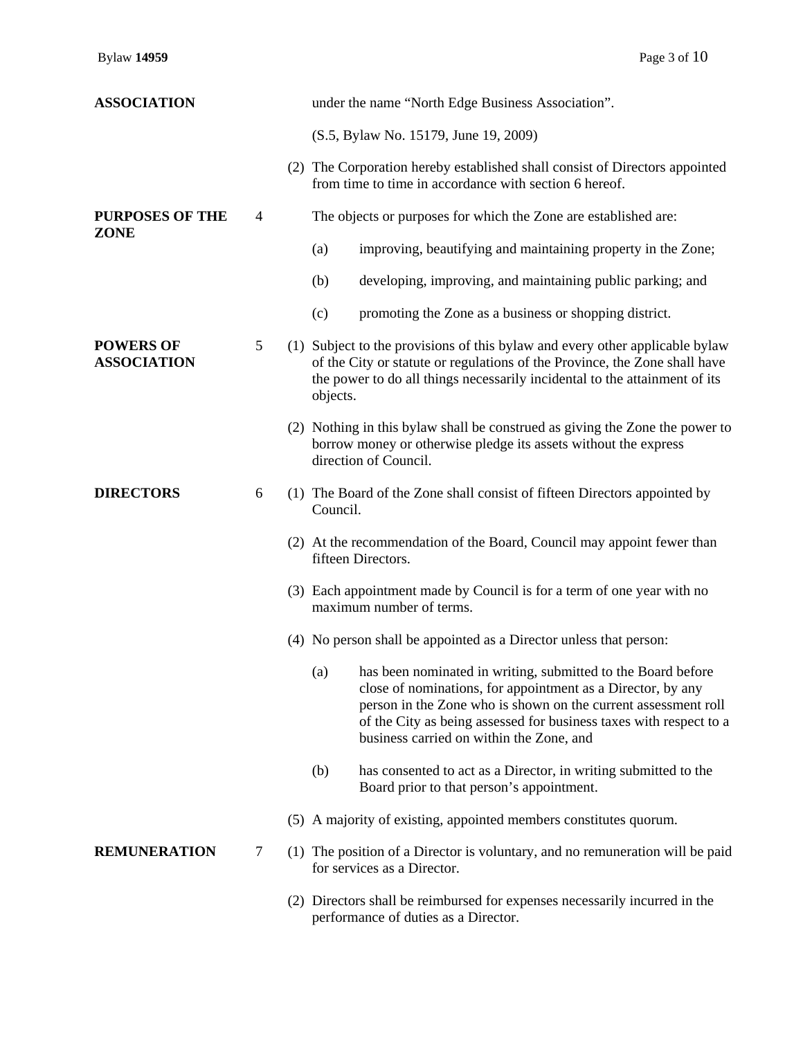| <b>ASSOCIATION</b>                     |   | under the name "North Edge Business Association".                                                                                                                                                                                                                                                                      |
|----------------------------------------|---|------------------------------------------------------------------------------------------------------------------------------------------------------------------------------------------------------------------------------------------------------------------------------------------------------------------------|
|                                        |   | (S.5, Bylaw No. 15179, June 19, 2009)                                                                                                                                                                                                                                                                                  |
|                                        |   | (2) The Corporation hereby established shall consist of Directors appointed<br>from time to time in accordance with section 6 hereof.                                                                                                                                                                                  |
| <b>PURPOSES OF THE</b>                 | 4 | The objects or purposes for which the Zone are established are:                                                                                                                                                                                                                                                        |
| <b>ZONE</b>                            |   | improving, beautifying and maintaining property in the Zone;<br>(a)                                                                                                                                                                                                                                                    |
|                                        |   | developing, improving, and maintaining public parking; and<br>(b)                                                                                                                                                                                                                                                      |
|                                        |   | (c)<br>promoting the Zone as a business or shopping district.                                                                                                                                                                                                                                                          |
| <b>POWERS OF</b><br><b>ASSOCIATION</b> | 5 | (1) Subject to the provisions of this bylaw and every other applicable bylaw<br>of the City or statute or regulations of the Province, the Zone shall have<br>the power to do all things necessarily incidental to the attainment of its<br>objects.                                                                   |
|                                        |   | (2) Nothing in this bylaw shall be construed as giving the Zone the power to<br>borrow money or otherwise pledge its assets without the express<br>direction of Council.                                                                                                                                               |
| <b>DIRECTORS</b>                       | 6 | (1) The Board of the Zone shall consist of fifteen Directors appointed by<br>Council.                                                                                                                                                                                                                                  |
|                                        |   | (2) At the recommendation of the Board, Council may appoint fewer than<br>fifteen Directors.                                                                                                                                                                                                                           |
|                                        |   | (3) Each appointment made by Council is for a term of one year with no<br>maximum number of terms.                                                                                                                                                                                                                     |
|                                        |   | (4) No person shall be appointed as a Director unless that person:                                                                                                                                                                                                                                                     |
|                                        |   | has been nominated in writing, submitted to the Board before<br>(a)<br>close of nominations, for appointment as a Director, by any<br>person in the Zone who is shown on the current assessment roll<br>of the City as being assessed for business taxes with respect to a<br>business carried on within the Zone, and |
|                                        |   | has consented to act as a Director, in writing submitted to the<br>(b)<br>Board prior to that person's appointment.                                                                                                                                                                                                    |
|                                        |   | (5) A majority of existing, appointed members constitutes quorum.                                                                                                                                                                                                                                                      |
| <b>REMUNERATION</b>                    | 7 | (1) The position of a Director is voluntary, and no remuneration will be paid<br>for services as a Director.                                                                                                                                                                                                           |
|                                        |   | (2) Directors shall be reimbursed for expenses necessarily incurred in the<br>performance of duties as a Director.                                                                                                                                                                                                     |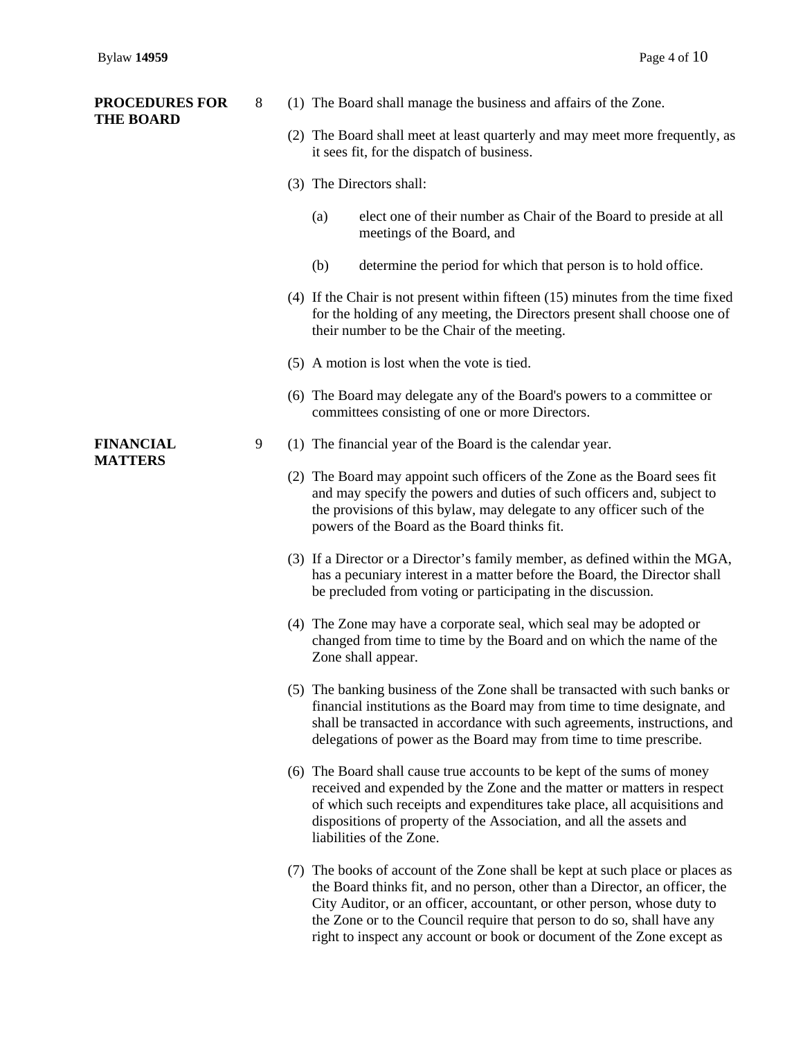| <b>PROCEDURES FOR</b><br><b>THE BOARD</b> | 8 | (1) The Board shall manage the business and affairs of the Zone.                                                                                                                                                                                                                                                                                                                             |
|-------------------------------------------|---|----------------------------------------------------------------------------------------------------------------------------------------------------------------------------------------------------------------------------------------------------------------------------------------------------------------------------------------------------------------------------------------------|
|                                           |   | (2) The Board shall meet at least quarterly and may meet more frequently, as<br>it sees fit, for the dispatch of business.                                                                                                                                                                                                                                                                   |
|                                           |   | (3) The Directors shall:                                                                                                                                                                                                                                                                                                                                                                     |
|                                           |   | (a)<br>elect one of their number as Chair of the Board to preside at all<br>meetings of the Board, and                                                                                                                                                                                                                                                                                       |
|                                           |   | determine the period for which that person is to hold office.<br>(b)                                                                                                                                                                                                                                                                                                                         |
|                                           |   | $(4)$ If the Chair is not present within fifteen $(15)$ minutes from the time fixed<br>for the holding of any meeting, the Directors present shall choose one of<br>their number to be the Chair of the meeting.                                                                                                                                                                             |
|                                           |   | (5) A motion is lost when the vote is tied.                                                                                                                                                                                                                                                                                                                                                  |
|                                           |   | (6) The Board may delegate any of the Board's powers to a committee or<br>committees consisting of one or more Directors.                                                                                                                                                                                                                                                                    |
| <b>FINANCIAL</b><br><b>MATTERS</b>        | 9 | (1) The financial year of the Board is the calendar year.                                                                                                                                                                                                                                                                                                                                    |
|                                           |   | (2) The Board may appoint such officers of the Zone as the Board sees fit<br>and may specify the powers and duties of such officers and, subject to<br>the provisions of this bylaw, may delegate to any officer such of the<br>powers of the Board as the Board thinks fit.                                                                                                                 |
|                                           |   | (3) If a Director or a Director's family member, as defined within the MGA,<br>has a pecuniary interest in a matter before the Board, the Director shall<br>be precluded from voting or participating in the discussion.                                                                                                                                                                     |
|                                           |   | (4) The Zone may have a corporate seal, which seal may be adopted or<br>changed from time to time by the Board and on which the name of the<br>Zone shall appear.                                                                                                                                                                                                                            |
|                                           |   | (5) The banking business of the Zone shall be transacted with such banks or<br>financial institutions as the Board may from time to time designate, and<br>shall be transacted in accordance with such agreements, instructions, and<br>delegations of power as the Board may from time to time prescribe.                                                                                   |
|                                           |   | (6) The Board shall cause true accounts to be kept of the sums of money<br>received and expended by the Zone and the matter or matters in respect<br>of which such receipts and expenditures take place, all acquisitions and<br>dispositions of property of the Association, and all the assets and<br>liabilities of the Zone.                                                             |
|                                           |   | (7) The books of account of the Zone shall be kept at such place or places as<br>the Board thinks fit, and no person, other than a Director, an officer, the<br>City Auditor, or an officer, accountant, or other person, whose duty to<br>the Zone or to the Council require that person to do so, shall have any<br>right to inspect any account or book or document of the Zone except as |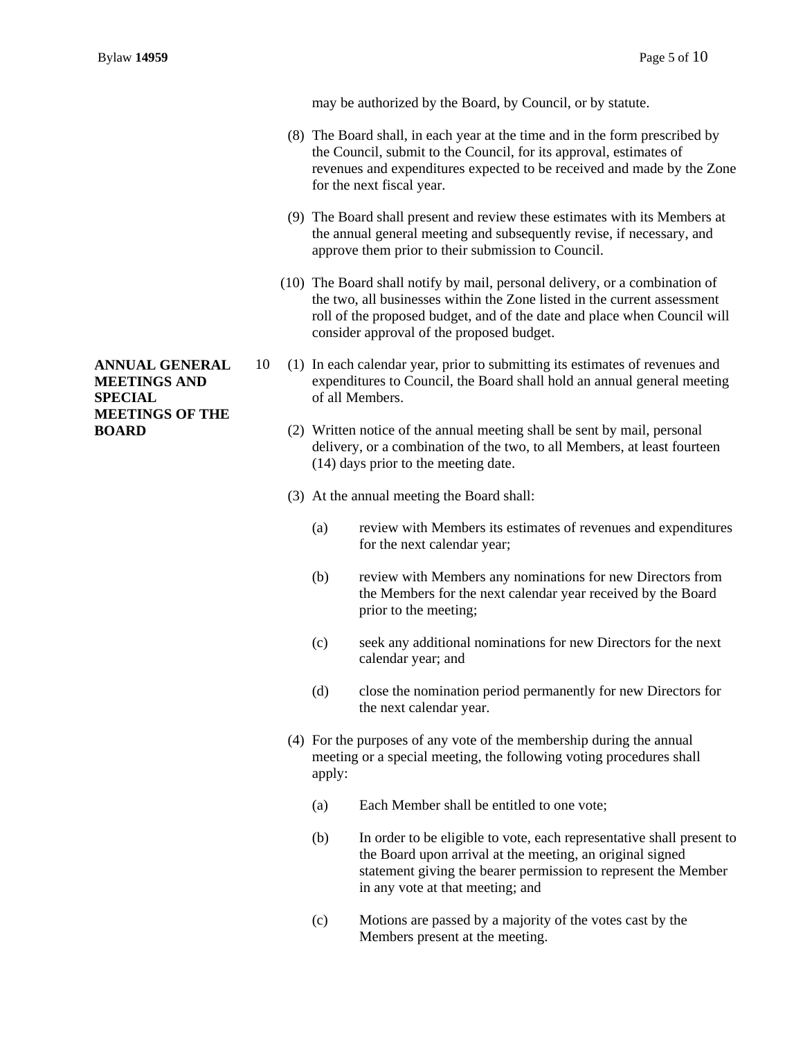may be authorized by the Board, by Council, or by statute.

- (8) The Board shall, in each year at the time and in the form prescribed by the Council, submit to the Council, for its approval, estimates of revenues and expenditures expected to be received and made by the Zone for the next fiscal year.
- (9) The Board shall present and review these estimates with its Members at the annual general meeting and subsequently revise, if necessary, and approve them prior to their submission to Council.
- (10) The Board shall notify by mail, personal delivery, or a combination of the two, all businesses within the Zone listed in the current assessment roll of the proposed budget, and of the date and place when Council will consider approval of the proposed budget.
- 10 (1) In each calendar year, prior to submitting its estimates of revenues and expenditures to Council, the Board shall hold an annual general meeting of all Members.
	- (2) Written notice of the annual meeting shall be sent by mail, personal delivery, or a combination of the two, to all Members, at least fourteen (14) days prior to the meeting date.
	- (3) At the annual meeting the Board shall:
		- (a) review with Members its estimates of revenues and expenditures for the next calendar year;
		- (b) review with Members any nominations for new Directors from the Members for the next calendar year received by the Board prior to the meeting;
		- (c) seek any additional nominations for new Directors for the next calendar year; and
		- (d) close the nomination period permanently for new Directors for the next calendar year.
	- (4) For the purposes of any vote of the membership during the annual meeting or a special meeting, the following voting procedures shall apply:
		- (a) Each Member shall be entitled to one vote;
		- (b) In order to be eligible to vote, each representative shall present to the Board upon arrival at the meeting, an original signed statement giving the bearer permission to represent the Member in any vote at that meeting; and
		- (c) Motions are passed by a majority of the votes cast by the Members present at the meeting.

**ANNUAL GENERAL MEETINGS AND SPECIAL MEETINGS OF THE BOARD**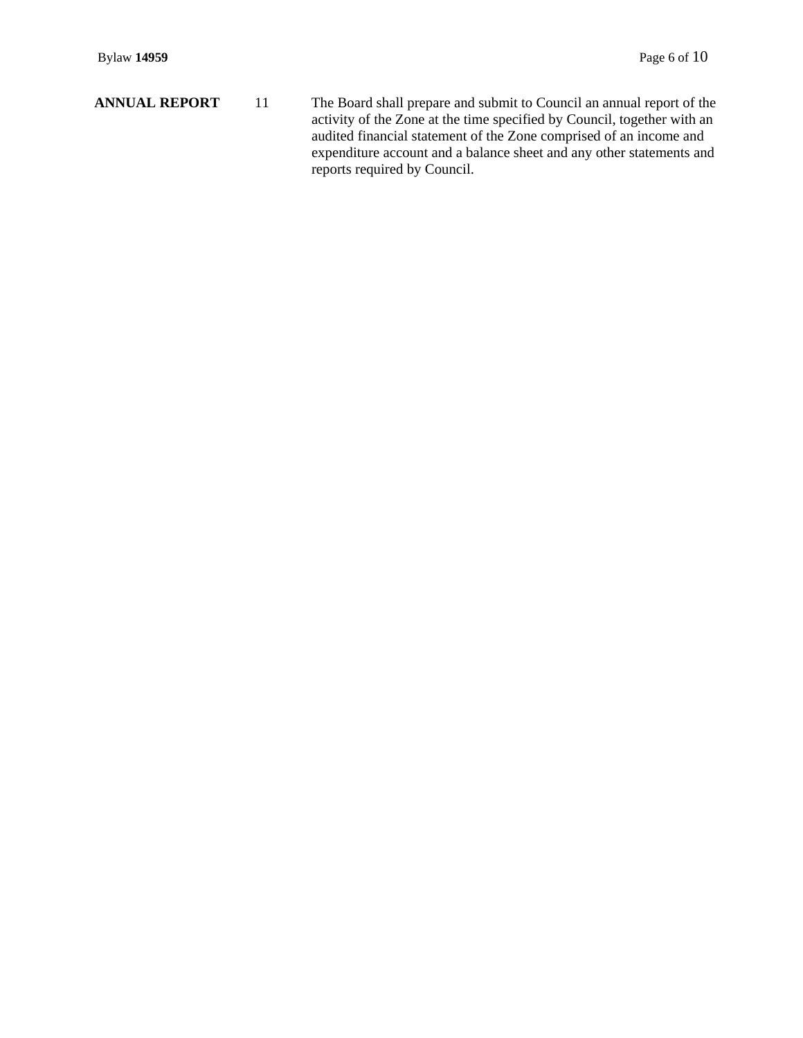**ANNUAL REPORT** 11 The Board shall prepare and submit to Council an annual report of the activity of the Zone at the time specified by Council, together with an audited financial statement of the Zone comprised of an income and expenditure account and a balance sheet and any other statements and reports required by Council.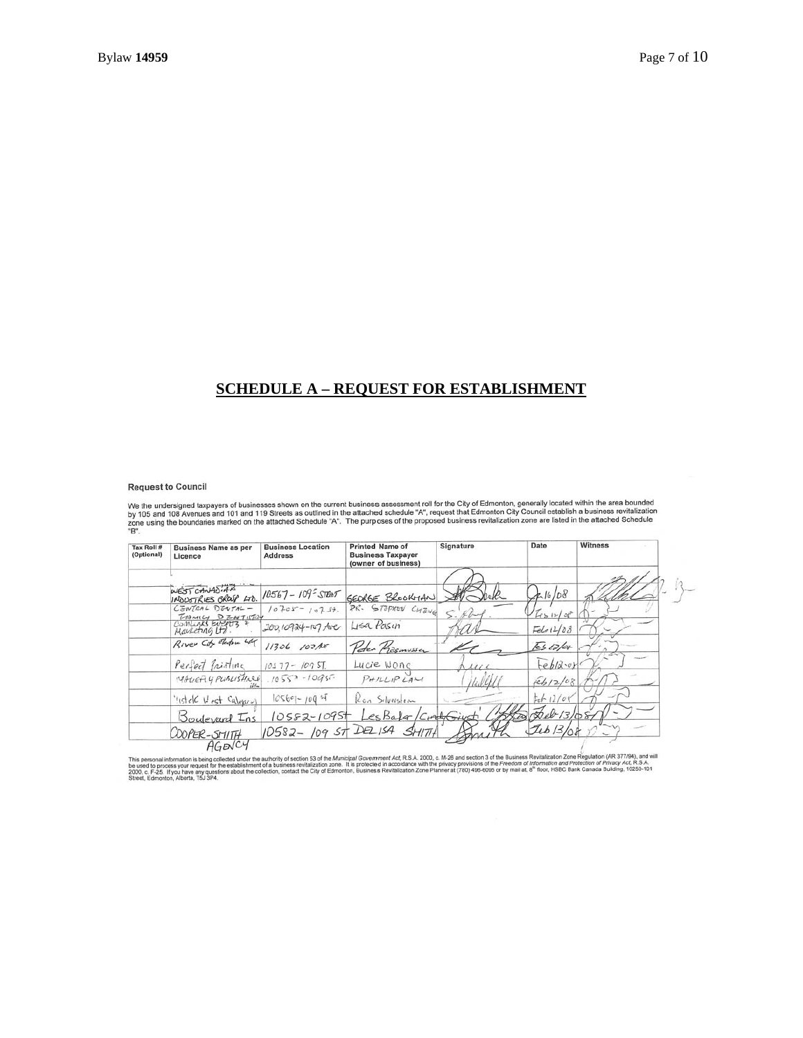#### **SCHEDULE A – REQUEST FOR ESTABLISHMENT**

#### **Request to Council**

Request to Council<br>We the undersigned taxpayers of businesses shown on the current business assessment roll for the City of Edmonton, generally located within the area bounded<br>by 105 and 108 Avenues and 101 and 119 Streets

| Tax Roll #<br>(Optional) | <b>Business Name as per</b><br>Licence | <b>Business Location</b><br><b>Address</b> | <b>Printed Name of</b><br><b>Business Taxpayer</b><br>(owner of business) | Signature     | Date                   | <b>Witness</b> |
|--------------------------|----------------------------------------|--------------------------------------------|---------------------------------------------------------------------------|---------------|------------------------|----------------|
|                          |                                        |                                            |                                                                           |               |                        |                |
|                          | WEST CANADIAN<br>INDUSTRIES GROUP LTD. | $10567 - 109^2$ STRAT                      | GEORGE BROOKHAN                                                           |               | 416/08                 |                |
|                          | CENTRAL DENTAL-                        | $10705 - 10757$                            | PR. STOPHEN CHENG                                                         | S.Her         | 78/26                  |                |
|                          | FAMILY DENTIFIED<br>Mayketing Ltd.     | 200,10924-107 Ave                          | Lisa Pasin                                                                |               | $F_{e}$ 612/08         |                |
|                          | Biver City Electric LAC                | 11306 102Ax                                | Peter Presmusser                                                          |               | $\overline{k}$ s 12/0+ |                |
|                          | Perfect friating                       | $10577 - 1095T$                            | Lucie Wone                                                                | $\mathcal{U}$ | Feb12.or               |                |
|                          | MACIETY PUBLISHACE                     | $10557 - 10957$                            | $P$ <i>+1LLIPLALI</i>                                                     |               | 6612/08                |                |
|                          | "Istek West Calepse)                   | $10560 - 1005$                             | Ron Silverston                                                            |               | $t_{\rm c}$ + 12/08    |                |
|                          | Boulevard Ins                          | $10552 - 1095$                             | Les Bala /CrathGiusti                                                     |               | $20 - 13/08$           |                |
|                          | COOPER-SMITH                           |                                            | 10582-109 ST DELISA SMITH                                                 |               | Jeb 13/08              |                |
|                          | ACD/C4                                 |                                            |                                                                           |               |                        |                |

This personal information is being collected under the authority of section 53 of the Municipal Government Act, R.S.A. 2000, c. M-26 and section 3 of the Business Revitalization Zone Regulation (AR 377784), and will apply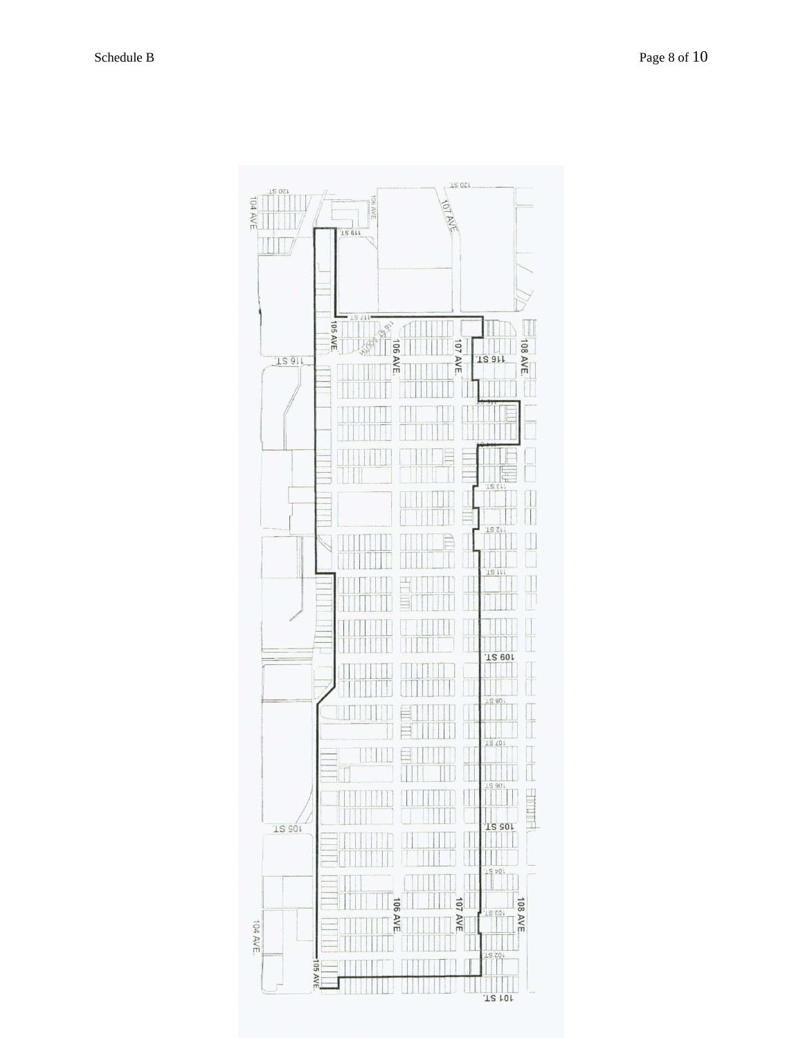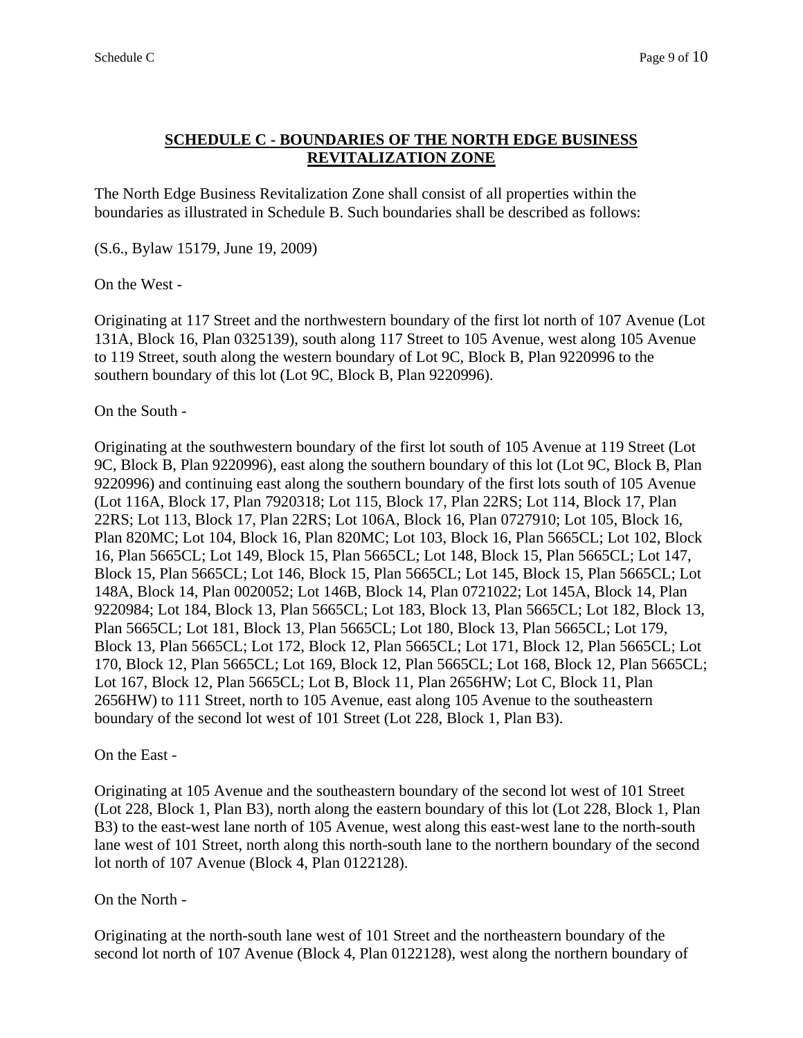### **SCHEDULE C - BOUNDARIES OF THE NORTH EDGE BUSINESS REVITALIZATION ZONE**

The North Edge Business Revitalization Zone shall consist of all properties within the boundaries as illustrated in Schedule B. Such boundaries shall be described as follows:

(S.6., Bylaw 15179, June 19, 2009)

On the West -

Originating at 117 Street and the northwestern boundary of the first lot north of 107 Avenue (Lot 131A, Block 16, Plan 0325139), south along 117 Street to 105 Avenue, west along 105 Avenue to 119 Street, south along the western boundary of Lot 9C, Block B, Plan 9220996 to the southern boundary of this lot (Lot 9C, Block B, Plan 9220996).

On the South -

Originating at the southwestern boundary of the first lot south of 105 Avenue at 119 Street (Lot 9C, Block B, Plan 9220996), east along the southern boundary of this lot (Lot 9C, Block B, Plan 9220996) and continuing east along the southern boundary of the first lots south of 105 Avenue (Lot 116A, Block 17, Plan 7920318; Lot 115, Block 17, Plan 22RS; Lot 114, Block 17, Plan 22RS; Lot 113, Block 17, Plan 22RS; Lot 106A, Block 16, Plan 0727910; Lot 105, Block 16, Plan 820MC; Lot 104, Block 16, Plan 820MC; Lot 103, Block 16, Plan 5665CL; Lot 102, Block 16, Plan 5665CL; Lot 149, Block 15, Plan 5665CL; Lot 148, Block 15, Plan 5665CL; Lot 147, Block 15, Plan 5665CL; Lot 146, Block 15, Plan 5665CL; Lot 145, Block 15, Plan 5665CL; Lot 148A, Block 14, Plan 0020052; Lot 146B, Block 14, Plan 0721022; Lot 145A, Block 14, Plan 9220984; Lot 184, Block 13, Plan 5665CL; Lot 183, Block 13, Plan 5665CL; Lot 182, Block 13, Plan 5665CL; Lot 181, Block 13, Plan 5665CL; Lot 180, Block 13, Plan 5665CL; Lot 179, Block 13, Plan 5665CL; Lot 172, Block 12, Plan 5665CL; Lot 171, Block 12, Plan 5665CL; Lot 170, Block 12, Plan 5665CL; Lot 169, Block 12, Plan 5665CL; Lot 168, Block 12, Plan 5665CL; Lot 167, Block 12, Plan 5665CL; Lot B, Block 11, Plan 2656HW; Lot C, Block 11, Plan 2656HW) to 111 Street, north to 105 Avenue, east along 105 Avenue to the southeastern boundary of the second lot west of 101 Street (Lot 228, Block 1, Plan B3).

On the East -

Originating at 105 Avenue and the southeastern boundary of the second lot west of 101 Street (Lot 228, Block 1, Plan B3), north along the eastern boundary of this lot (Lot 228, Block 1, Plan B3) to the east-west lane north of 105 Avenue, west along this east-west lane to the north-south lane west of 101 Street, north along this north-south lane to the northern boundary of the second lot north of 107 Avenue (Block 4, Plan 0122128).

#### On the North -

Originating at the north-south lane west of 101 Street and the northeastern boundary of the second lot north of 107 Avenue (Block 4, Plan 0122128), west along the northern boundary of